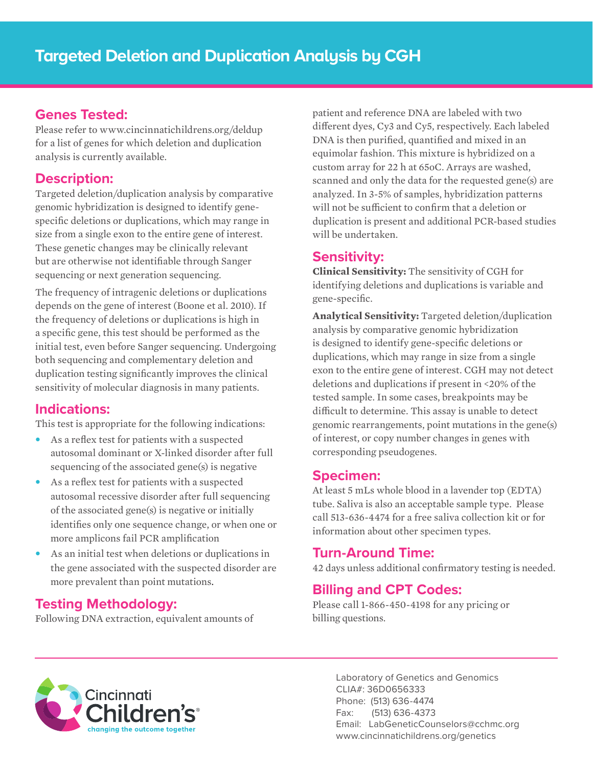#### **Genes Tested:**

Please refer to www.cincinnatichildrens.org/deldup for a list of genes for which deletion and duplication analysis is currently available.

#### **Description:**

Targeted deletion/duplication analysis by comparative genomic hybridization is designed to identify genespecific deletions or duplications, which may range in size from a single exon to the entire gene of interest. These genetic changes may be clinically relevant but are otherwise not identifiable through Sanger sequencing or next generation sequencing.

The frequency of intragenic deletions or duplications depends on the gene of interest (Boone et al. 2010). If the frequency of deletions or duplications is high in a specific gene, this test should be performed as the initial test, even before Sanger sequencing. Undergoing both sequencing and complementary deletion and duplication testing significantly improves the clinical sensitivity of molecular diagnosis in many patients.

## **Indications:**

This test is appropriate for the following indications:

- **•** As a reflex test for patients with a suspected autosomal dominant or X-linked disorder after full sequencing of the associated gene(s) is negative
- **•** As a reflex test for patients with a suspected autosomal recessive disorder after full sequencing of the associated gene(s) is negative or initially identifies only one sequence change, or when one or more amplicons fail PCR amplification
- **•** As an initial test when deletions or duplications in the gene associated with the suspected disorder are more prevalent than point mutations.

## **Testing Methodology:**

Following DNA extraction, equivalent amounts of

patient and reference DNA are labeled with two different dyes, Cy3 and Cy5, respectively. Each labeled DNA is then purified, quantified and mixed in an equimolar fashion. This mixture is hybridized on a custom array for 22 h at 65oC. Arrays are washed, scanned and only the data for the requested gene(s) are analyzed. In 3-5% of samples, hybridization patterns will not be sufficient to confirm that a deletion or duplication is present and additional PCR-based studies will be undertaken.

# **Sensitivity:**

**Clinical Sensitivity:** The sensitivity of CGH for identifying deletions and duplications is variable and gene-specific.

**Analytical Sensitivity:** Targeted deletion/duplication analysis by comparative genomic hybridization is designed to identify gene-specific deletions or duplications, which may range in size from a single exon to the entire gene of interest. CGH may not detect deletions and duplications if present in <20% of the tested sample. In some cases, breakpoints may be difficult to determine. This assay is unable to detect genomic rearrangements, point mutations in the gene(s) of interest, or copy number changes in genes with corresponding pseudogenes.

#### **Specimen:**

At least 5 mLs whole blood in a lavender top (EDTA) tube. Saliva is also an acceptable sample type. Please call 513-636-4474 for a free saliva collection kit or for information about other specimen types.

## **Turn-Around Time:**

42 days unless additional confirmatory testing is needed.

## **Billing and CPT Codes:**

Please call 1-866-450-4198 for any pricing or billing questions.



Laboratory of Genetics and Genomics CLIA#: 36D0656333 Phone: (513) 636-4474 Fax: (513) 636-4373 Email: LabGeneticCounselors@cchmc.org www.cincinnatichildrens.org/genetics